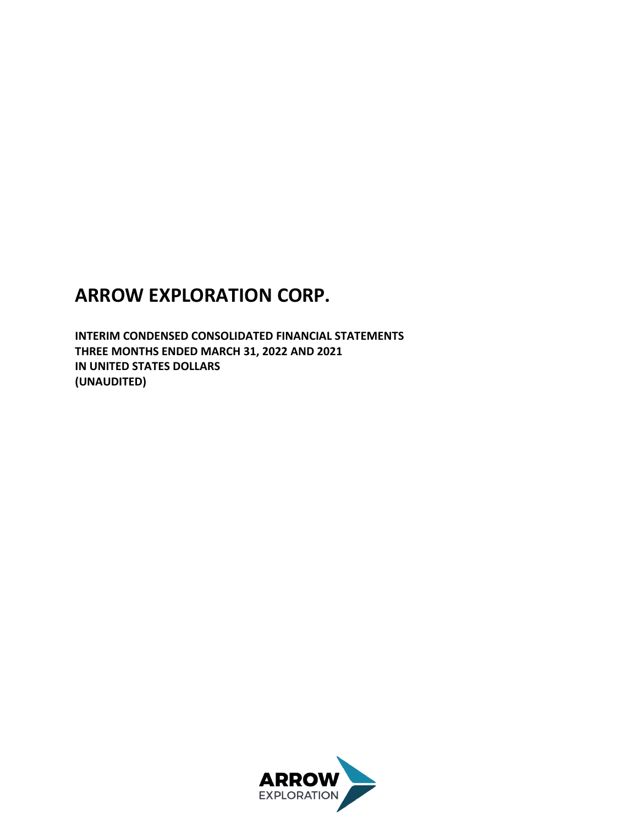# **ARROW EXPLORATION CORP.**

**INTERIM CONDENSED CONSOLIDATED FINANCIAL STATEMENTS THREE MONTHS ENDED MARCH 31, 2022 AND 2021 IN UNITED STATES DOLLARS (UNAUDITED)**

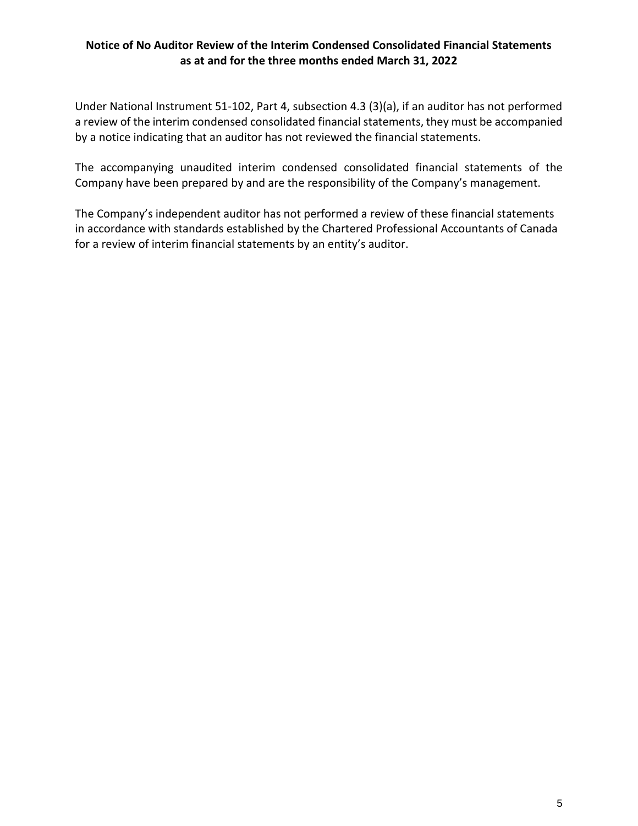### **Notice of No Auditor Review of the Interim Condensed Consolidated Financial Statements as at and for the three months ended March 31, 2022**

Under National Instrument 51-102, Part 4, subsection 4.3 (3)(a), if an auditor has not performed a review of the interim condensed consolidated financial statements, they must be accompanied by a notice indicating that an auditor has not reviewed the financial statements.

The accompanying unaudited interim condensed consolidated financial statements of the Company have been prepared by and are the responsibility of the Company's management.

The Company's independent auditor has not performed a review of these financial statements in accordance with standards established by the Chartered Professional Accountants of Canada for a review of interim financial statements by an entity's auditor.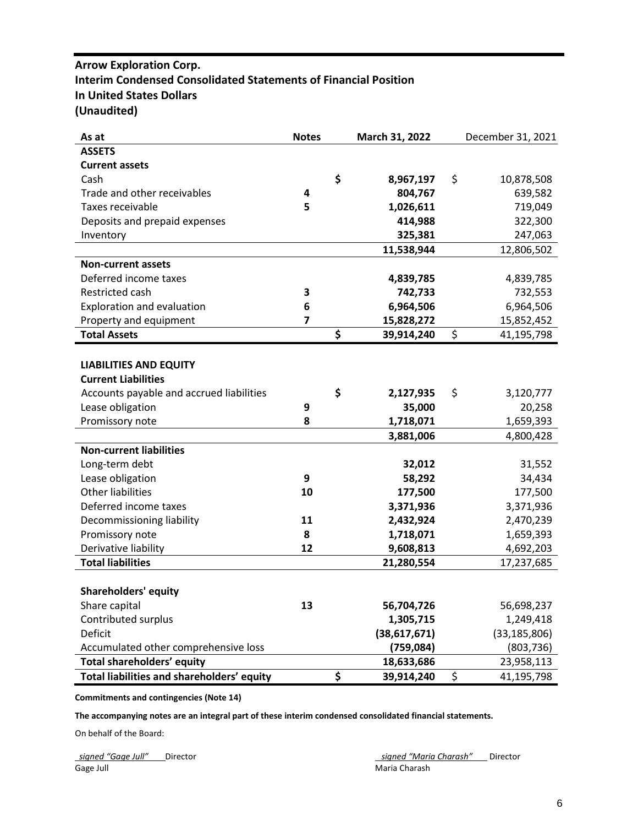# **Arrow Exploration Corp. Interim Condensed Consolidated Statements of Financial Position In United States Dollars (Unaudited)**

| As at                                      | <b>Notes</b> | March 31, 2022   | December 31, 2021 |
|--------------------------------------------|--------------|------------------|-------------------|
| <b>ASSETS</b>                              |              |                  |                   |
| <b>Current assets</b>                      |              |                  |                   |
| Cash                                       |              | \$<br>8,967,197  | \$<br>10,878,508  |
| Trade and other receivables                | 4            | 804,767          | 639,582           |
| Taxes receivable                           | 5            | 1,026,611        | 719,049           |
| Deposits and prepaid expenses              |              | 414,988          | 322,300           |
| Inventory                                  |              | 325,381          | 247,063           |
|                                            |              | 11,538,944       | 12,806,502        |
| <b>Non-current assets</b>                  |              |                  |                   |
| Deferred income taxes                      |              | 4,839,785        | 4,839,785         |
| Restricted cash                            | 3            | 742,733          | 732,553           |
| Exploration and evaluation                 | 6            | 6,964,506        | 6,964,506         |
| Property and equipment                     | 7            | 15,828,272       | 15,852,452        |
| <b>Total Assets</b>                        |              | \$<br>39,914,240 | \$<br>41,195,798  |
|                                            |              |                  |                   |
| <b>LIABILITIES AND EQUITY</b>              |              |                  |                   |
| <b>Current Liabilities</b>                 |              |                  |                   |
| Accounts payable and accrued liabilities   |              | \$<br>2,127,935  | \$<br>3,120,777   |
| Lease obligation                           | 9            | 35,000           | 20,258            |
| Promissory note                            | 8            | 1,718,071        | 1,659,393         |
|                                            |              | 3,881,006        | 4,800,428         |
| <b>Non-current liabilities</b>             |              |                  |                   |
| Long-term debt                             |              | 32,012           | 31,552            |
| Lease obligation                           | 9            | 58,292           | 34,434            |
| <b>Other liabilities</b>                   | 10           | 177,500          | 177,500           |
| Deferred income taxes                      |              | 3,371,936        | 3,371,936         |
| Decommissioning liability                  | 11           | 2,432,924        | 2,470,239         |
| Promissory note                            | 8            | 1,718,071        | 1,659,393         |
| Derivative liability                       | 12           | 9,608,813        | 4,692,203         |
| <b>Total liabilities</b>                   |              | 21,280,554       | 17,237,685        |
|                                            |              |                  |                   |
| <b>Shareholders' equity</b>                |              |                  |                   |
| Share capital                              | 13           | 56,704,726       | 56,698,237        |
| Contributed surplus                        |              | 1,305,715        | 1,249,418         |
| Deficit                                    |              | (38,617,671)     | (33, 185, 806)    |
| Accumulated other comprehensive loss       |              | (759, 084)       | (803, 736)        |
| Total shareholders' equity                 |              | 18,633,686       | 23,958,113        |
| Total liabilities and shareholders' equity |              | \$<br>39,914,240 | \$<br>41,195,798  |

**Commitments and contingencies (Note 14)**

**The accompanying notes are an integral part of these interim condensed consolidated financial statements.**

On behalf of the Board:

Gage Juli **Maria Charash** Maria Charash **Maria Charash** Maria Charash Maria Charash

*signed "Gage Jull"* Director *signed "Maria Charash"* Director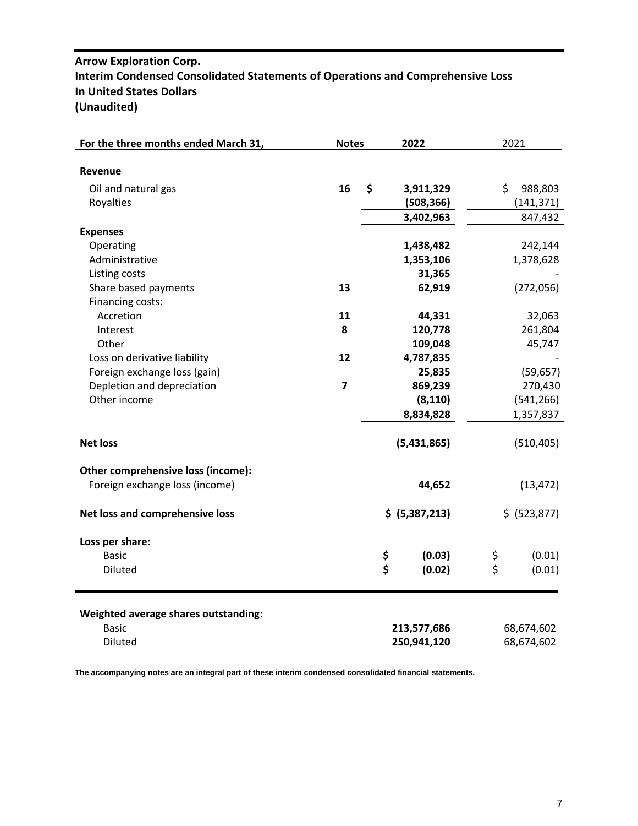# **Arrow Exploration Corp. Interim Condensed Consolidated Statements of Operations and Comprehensive Loss In United States Dollars (Unaudited)**

| For the three months ended March 31, | <b>Notes</b>            | 2022 |                | 2021                    |              |
|--------------------------------------|-------------------------|------|----------------|-------------------------|--------------|
|                                      |                         |      |                |                         |              |
| Revenue                              |                         |      |                |                         |              |
| Oil and natural gas                  | 16                      | \$   | 3,911,329      | \$                      | 988,803      |
| Royalties                            |                         |      | (508, 366)     |                         | (141, 371)   |
|                                      |                         |      | 3,402,963      |                         | 847,432      |
| <b>Expenses</b>                      |                         |      |                |                         |              |
| Operating                            |                         |      | 1,438,482      |                         | 242,144      |
| Administrative                       |                         |      | 1,353,106      |                         | 1,378,628    |
| Listing costs                        |                         |      | 31,365         |                         |              |
| Share based payments                 | 13                      |      | 62,919         |                         | (272,056)    |
| Financing costs:                     |                         |      |                |                         |              |
| Accretion                            | 11                      |      | 44,331         |                         | 32,063       |
| Interest                             | 8                       |      | 120,778        |                         | 261,804      |
| Other                                |                         |      | 109,048        |                         | 45,747       |
| Loss on derivative liability         | 12                      |      | 4,787,835      |                         |              |
| Foreign exchange loss (gain)         |                         |      | 25,835         |                         | (59, 657)    |
| Depletion and depreciation           | $\overline{\mathbf{z}}$ |      | 869,239        |                         | 270,430      |
| Other income                         |                         |      | (8, 110)       |                         | (541, 266)   |
|                                      |                         |      | 8,834,828      |                         | 1,357,837    |
|                                      |                         |      |                |                         |              |
| <b>Net loss</b>                      |                         |      | (5,431,865)    |                         | (510, 405)   |
| Other comprehensive loss (income):   |                         |      |                |                         |              |
| Foreign exchange loss (income)       |                         |      | 44,652         |                         | (13, 472)    |
| Net loss and comprehensive loss      |                         |      | \$ (5,387,213) |                         | \$ (523,877) |
| Loss per share:                      |                         |      |                |                         |              |
| <b>Basic</b>                         |                         | \$   | (0.03)         | \$                      | (0.01)       |
| Diluted                              |                         | \$   | (0.02)         | $\overline{\mathsf{S}}$ | (0.01)       |
| Weighted average shares outstanding: |                         |      |                |                         |              |
| <b>Basic</b>                         |                         |      | 213,577,686    |                         | 68,674,602   |
| Diluted                              |                         |      | 250,941,120    |                         | 68,674,602   |

**The accompanying notes are an integral part of these interim condensed consolidated financial statements.**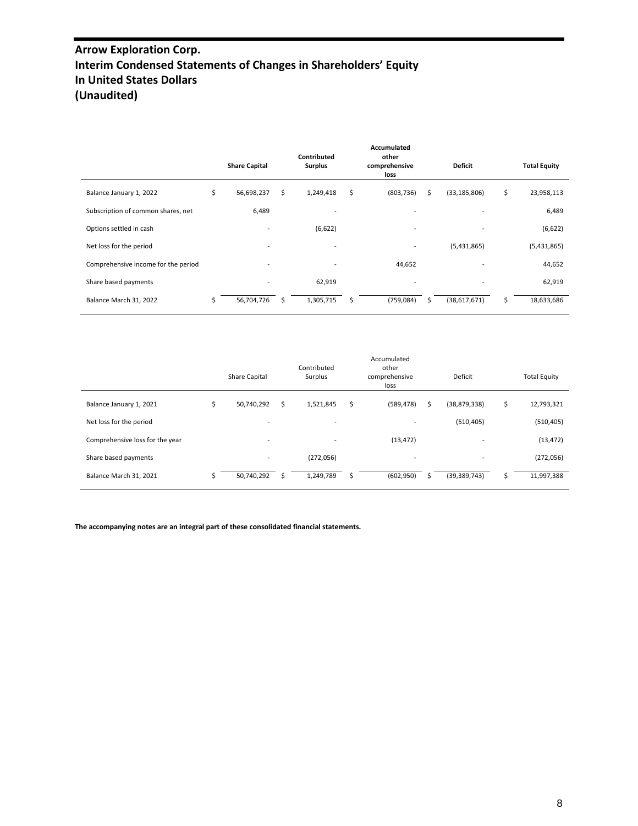# **Arrow Exploration Corp. Interim Condensed Statements of Changes in Shareholders' Equity In United States Dollars (Unaudited)**

|                                     |    | <b>Share Capital</b>     |    | <b>Contributed</b><br><b>Surplus</b> |    | <b>Accumulated</b><br>other<br>comprehensive<br>loss |   | <b>Deficit</b>           |    | <b>Total Equity</b> |
|-------------------------------------|----|--------------------------|----|--------------------------------------|----|------------------------------------------------------|---|--------------------------|----|---------------------|
| Balance January 1, 2022             | \$ | 56,698,237               | Ś. | 1,249,418                            | \$ | (803, 736)                                           | Ś | (33, 185, 806)           | \$ | 23,958,113          |
| Subscription of common shares, net  |    | 6,489                    |    | ۰                                    |    | $\overline{a}$                                       |   |                          |    | 6,489               |
| Options settled in cash             |    | $\overline{\phantom{a}}$ |    | (6,622)                              |    | $\overline{\phantom{0}}$                             |   | $\overline{\phantom{a}}$ |    | (6,622)             |
| Net loss for the period             |    | $\overline{\phantom{a}}$ |    | ۰                                    |    | $\overline{\phantom{0}}$                             |   | (5,431,865)              |    | (5,431,865)         |
| Comprehensive income for the period |    | $\overline{\phantom{a}}$ |    | $\overline{\phantom{a}}$             |    | 44,652                                               |   |                          |    | 44,652              |
| Share based payments                |    |                          |    | 62,919                               |    |                                                      |   |                          |    | 62,919              |
| Balance March 31, 2022              | Ś. | 56,704,726               | ς  | 1,305,715                            | ς. | (759, 084)                                           | s | (38,617,671)             | Ś. | 18,633,686          |

|                                 |    | Share Capital            |   | Contributed<br>Surplus   | Accumulated<br>other<br>comprehensive<br>loss |   | Deficit        |    | <b>Total Equity</b> |
|---------------------------------|----|--------------------------|---|--------------------------|-----------------------------------------------|---|----------------|----|---------------------|
| Balance January 1, 2021         | \$ | 50,740,292               | s | 1,521,845                | \$<br>(589, 478)                              | Ś | (38, 879, 338) | \$ | 12,793,321          |
| Net loss for the period         |    | $\overline{\phantom{0}}$ |   | $\overline{\phantom{a}}$ |                                               |   | (510, 405)     |    | (510, 405)          |
| Comprehensive loss for the year |    | $\overline{\phantom{a}}$ |   | $\overline{\phantom{a}}$ | (13, 472)                                     |   | -              |    | (13, 472)           |
| Share based payments            |    | ۰.                       |   | (272,056)                | $\overline{\phantom{0}}$                      |   | -              |    | (272, 056)          |
| Balance March 31, 2021          | Ś  | 50,740,292               |   | 1,249,789                | (602, 950)                                    |   | (39, 389, 743) | Ś  | 11,997,388          |

**The accompanying notes are an integral part of these consolidated financial statements.**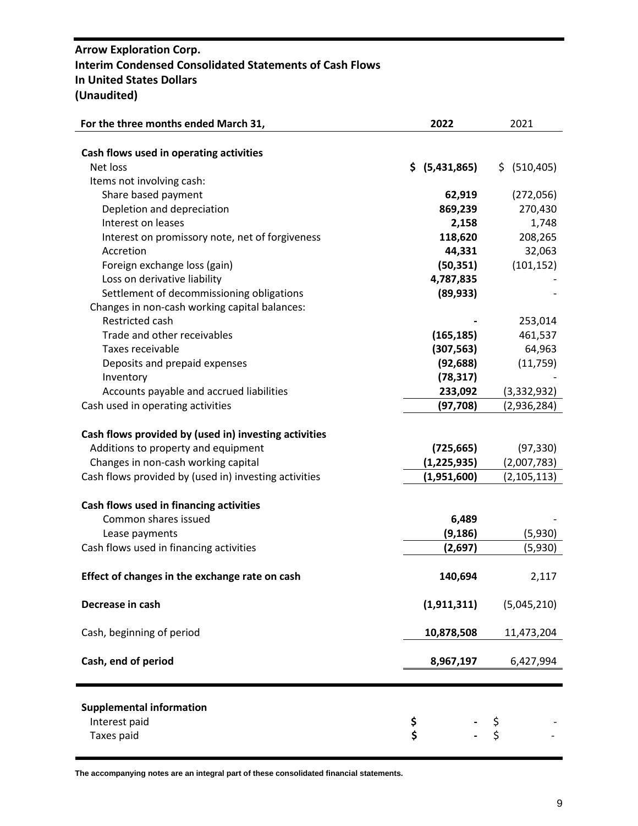# **Arrow Exploration Corp. Interim Condensed Consolidated Statements of Cash Flows In United States Dollars (Unaudited)**

| For the three months ended March 31,                  | 2022           | 2021          |
|-------------------------------------------------------|----------------|---------------|
|                                                       |                |               |
| Cash flows used in operating activities               |                |               |
| Net loss                                              | \$ (5,431,865) | \$ (510,405)  |
| Items not involving cash:                             |                |               |
| Share based payment                                   | 62,919         | (272,056)     |
| Depletion and depreciation                            | 869,239        | 270,430       |
| Interest on leases                                    | 2,158          | 1,748         |
| Interest on promissory note, net of forgiveness       | 118,620        | 208,265       |
| Accretion                                             | 44,331         | 32,063        |
| Foreign exchange loss (gain)                          | (50, 351)      | (101, 152)    |
|                                                       |                |               |
| Loss on derivative liability                          | 4,787,835      |               |
| Settlement of decommissioning obligations             | (89, 933)      |               |
| Changes in non-cash working capital balances:         |                |               |
| Restricted cash                                       |                | 253,014       |
| Trade and other receivables                           | (165, 185)     | 461,537       |
| Taxes receivable                                      | (307, 563)     | 64,963        |
| Deposits and prepaid expenses                         | (92, 688)      | (11, 759)     |
| Inventory                                             | (78, 317)      |               |
| Accounts payable and accrued liabilities              | 233,092        | (3,332,932)   |
| Cash used in operating activities                     | (97, 708)      | (2,936,284)   |
|                                                       |                |               |
| Cash flows provided by (used in) investing activities |                |               |
| Additions to property and equipment                   | (725, 665)     | (97, 330)     |
| Changes in non-cash working capital                   | (1, 225, 935)  | (2,007,783)   |
| Cash flows provided by (used in) investing activities | (1,951,600)    | (2, 105, 113) |
|                                                       |                |               |
| Cash flows used in financing activities               |                |               |
| Common shares issued                                  | 6,489          |               |
| Lease payments                                        | (9, 186)       | (5,930)       |
| Cash flows used in financing activities               | (2,697)        | (5,930)       |
|                                                       |                |               |
| Effect of changes in the exchange rate on cash        | 140,694        | 2,117         |
|                                                       |                |               |
| Decrease in cash                                      | (1, 911, 311)  | (5,045,210)   |
|                                                       |                |               |
| Cash, beginning of period                             | 10,878,508     | 11,473,204    |
|                                                       |                |               |
| Cash, end of period                                   | 8,967,197      | 6,427,994     |
|                                                       |                |               |
|                                                       |                |               |
|                                                       |                |               |
| <b>Supplemental information</b>                       |                |               |
| Interest paid                                         | \$<br>\$       | \$<br>\$      |
| Taxes paid                                            |                |               |

**The accompanying notes are an integral part of these consolidated financial statements.**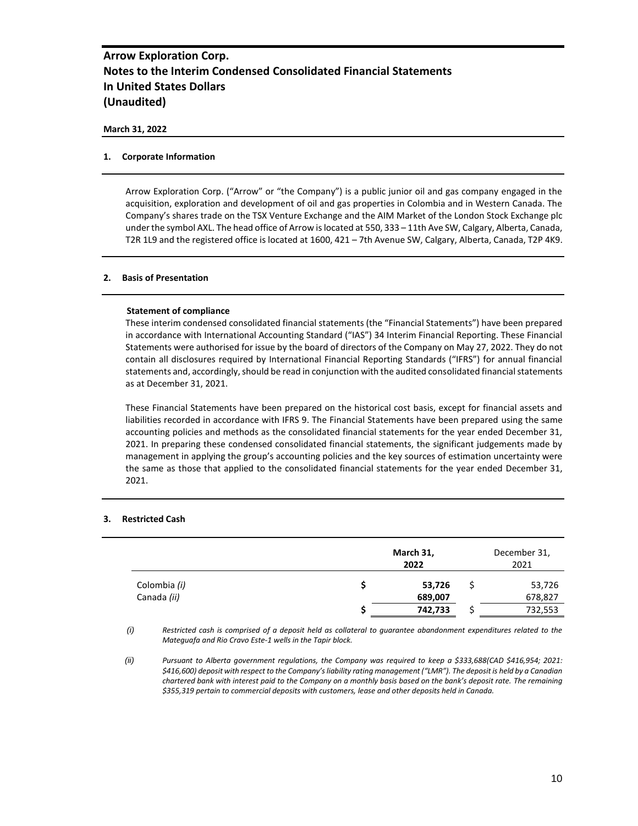#### **March 31, 2022**

#### **1. Corporate Information**

Arrow Exploration Corp. ("Arrow" or "the Company") is a public junior oil and gas company engaged in the acquisition, exploration and development of oil and gas properties in Colombia and in Western Canada. The Company's shares trade on the TSX Venture Exchange and the AIM Market of the London Stock Exchange plc under the symbol AXL. The head office of Arrow is located at 550, 333 – 11th Ave SW, Calgary, Alberta, Canada, T2R 1L9 and the registered office is located at 1600, 421 – 7th Avenue SW, Calgary, Alberta, Canada, T2P 4K9.

#### **2. Basis of Presentation**

#### **Statement of compliance**

These interim condensed consolidated financial statements (the "Financial Statements") have been prepared in accordance with International Accounting Standard ("IAS") 34 Interim Financial Reporting. These Financial Statements were authorised for issue by the board of directors of the Company on May 27, 2022. They do not contain all disclosures required by International Financial Reporting Standards ("IFRS") for annual financial statements and, accordingly, should be read in conjunction with the audited consolidated financial statements as at December 31, 2021.

These Financial Statements have been prepared on the historical cost basis, except for financial assets and liabilities recorded in accordance with IFRS 9. The Financial Statements have been prepared using the same accounting policies and methods as the consolidated financial statements for the year ended December 31, 2021. In preparing these condensed consolidated financial statements, the significant judgements made by management in applying the group's accounting policies and the key sources of estimation uncertainty were the same as those that applied to the consolidated financial statements for the year ended December 31, 2021.

#### **3. Restricted Cash**

|              | March 31,<br>2022 |  |         |  |  |
|--------------|-------------------|--|---------|--|--|
| Colombia (i) | 53,726            |  | 53,726  |  |  |
| Canada (ii)  | 689,007           |  | 678,827 |  |  |
|              | 742,733           |  | 732,553 |  |  |

*(i) Restricted cash is comprised of a deposit held as collateral to guarantee abandonment expenditures related to the Mateguafa and Rio Cravo Este-1 wells in the Tapir block.*

*(ii) Pursuant to Alberta government regulations, the Company was required to keep a \$333,688(CAD \$416,954; 2021: \$416,600) deposit with respect to the Company's liability rating management ("LMR"). The deposit is held by a Canadian chartered bank with interest paid to the Company on a monthly basis based on the bank's deposit rate. The remaining \$355,319 pertain to commercial deposits with customers, lease and other deposits held in Canada.*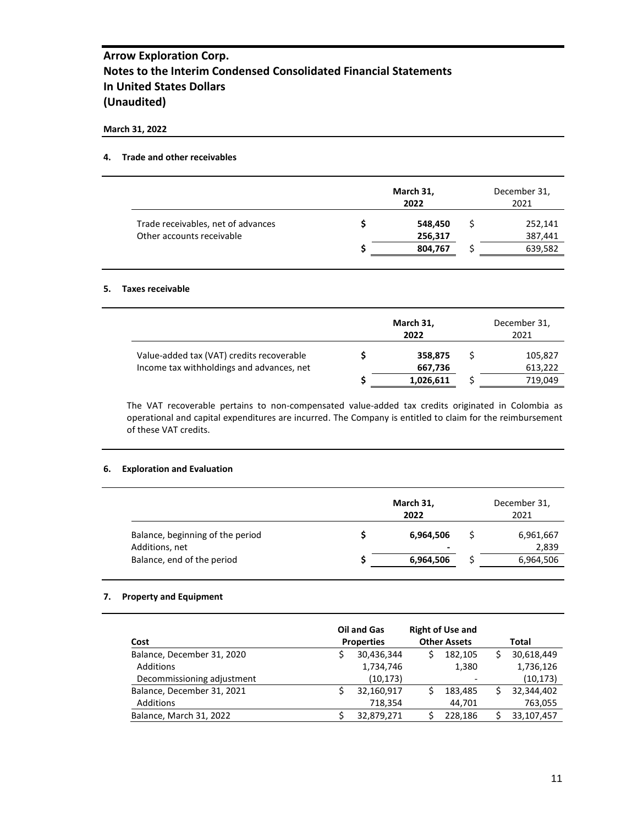#### **March 31, 2022**

### **4. Trade and other receivables**

|                                    | March 31,<br>2022 | December 31,<br>2021 |
|------------------------------------|-------------------|----------------------|
| Trade receivables, net of advances | 548,450           | 252,141              |
| Other accounts receivable          | 256,317           | 387,441              |
|                                    | 804,767           | 639,582              |

#### **5. Taxes receivable**

|                                           | March 31,<br>2022 | December 31,<br>2021 |
|-------------------------------------------|-------------------|----------------------|
| Value-added tax (VAT) credits recoverable | 358,875           | 105,827              |
| Income tax withholdings and advances, net | 667,736           | 613,222              |
|                                           | 1,026,611         | 719,049              |

The VAT recoverable pertains to non-compensated value-added tax credits originated in Colombia as operational and capital expenditures are incurred. The Company is entitled to claim for the reimbursement of these VAT credits.

### **6. Exploration and Evaluation**

|                                  | March 31,<br>2022 | December 31,<br>2021 |
|----------------------------------|-------------------|----------------------|
| Balance, beginning of the period | 6,964,506         | 6,961,667            |
| Additions, net                   | $\,$              | 2,839                |
| Balance, end of the period       | 6,964,506         | 6,964,506            |

### **7. Property and Equipment**

| Cost                       | <b>Oil and Gas</b><br><b>Properties</b> |   | <b>Right of Use and</b><br><b>Other Assets</b> | Total      |
|----------------------------|-----------------------------------------|---|------------------------------------------------|------------|
| Balance, December 31, 2020 | 30,436,344                              | Ś | 182,105                                        | 30,618,449 |
| Additions                  | 1,734,746                               |   | 1,380                                          | 1,736,126  |
| Decommissioning adjustment | (10, 173)                               |   |                                                | (10, 173)  |
| Balance, December 31, 2021 | 32,160,917                              |   | 183,485                                        | 32,344,402 |
| Additions                  | 718.354                                 |   | 44,701                                         | 763,055    |
| Balance, March 31, 2022    | 32.879.271                              |   | 228.186                                        | 33,107,457 |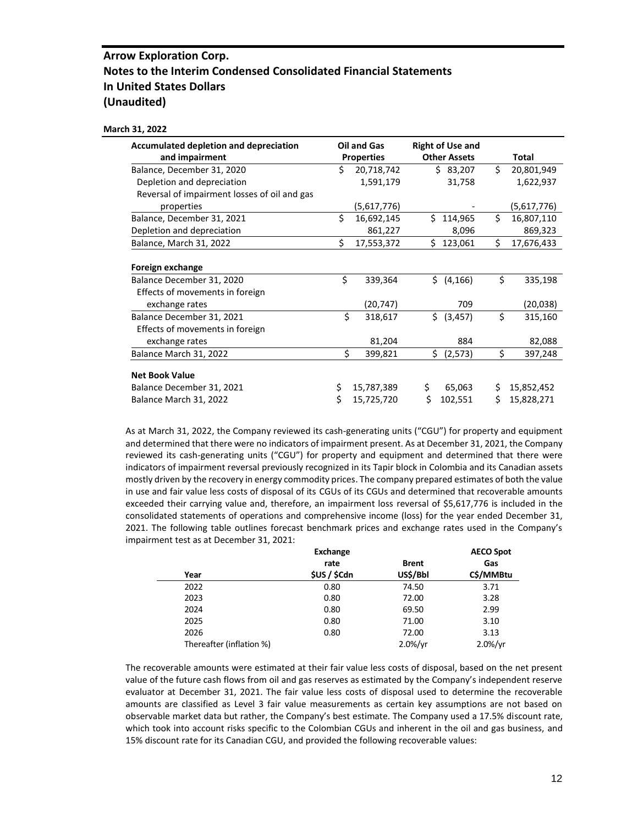#### **March 31, 2022**

| <b>Accumulated depletion and depreciation</b> |    | <b>Oil and Gas</b> | <b>Right of Use and</b> |    |             |
|-----------------------------------------------|----|--------------------|-------------------------|----|-------------|
| and impairment                                |    | <b>Properties</b>  | <b>Other Assets</b>     |    | Total       |
| Balance, December 31, 2020                    | Ś. | 20,718,742         | \$83,207                | \$ | 20,801,949  |
| Depletion and depreciation                    |    | 1,591,179          | 31,758                  |    | 1,622,937   |
| Reversal of impairment losses of oil and gas  |    |                    |                         |    |             |
| properties                                    |    | (5,617,776)        |                         |    | (5,617,776) |
| Balance, December 31, 2021                    | \$ | 16,692,145         | Ś.<br>114,965           | \$ | 16,807,110  |
| Depletion and depreciation                    |    | 861,227            | 8,096                   |    | 869,323     |
| Balance, March 31, 2022                       | Ś. | 17,553,372         | 123,061<br>Ś.           | \$ | 17,676,433  |
|                                               |    |                    |                         |    |             |
| Foreign exchange                              |    |                    |                         |    |             |
| Balance December 31, 2020                     | \$ | 339,364            | \$ (4, 166)             | \$ | 335,198     |
| Effects of movements in foreign               |    |                    |                         |    |             |
| exchange rates                                |    | (20,747)           | 709                     |    | (20,038)    |
| Balance December 31, 2021                     | \$ | 318,617            | Ś.<br>(3, 457)          | \$ | 315,160     |
| Effects of movements in foreign               |    |                    |                         |    |             |
| exchange rates                                |    | 81,204             | 884                     |    | 82,088      |
| Balance March 31, 2022                        | \$ | 399,821            | Ś.<br>(2,573)           | \$ | 397,248     |
|                                               |    |                    |                         |    |             |
| <b>Net Book Value</b>                         |    |                    |                         |    |             |
| Balance December 31, 2021                     | \$ | 15,787,389         | \$<br>65,063            | \$ | 15,852,452  |
| Balance March 31, 2022                        | Ś  | 15,725,720         | Ś<br>102,551            | Ś  | 15,828,271  |

As at March 31, 2022, the Company reviewed its cash-generating units ("CGU") for property and equipment and determined that there were no indicators of impairment present. As at December 31, 2021, the Company reviewed its cash-generating units ("CGU") for property and equipment and determined that there were indicators of impairment reversal previously recognized in its Tapir block in Colombia and its Canadian assets mostly driven by the recovery in energy commodity prices. The company prepared estimates of both the value in use and fair value less costs of disposal of its CGUs of its CGUs and determined that recoverable amounts exceeded their carrying value and, therefore, an impairment loss reversal of \$5,617,776 is included in the consolidated statements of operations and comprehensive income (loss) for the year ended December 31, 2021. The following table outlines forecast benchmark prices and exchange rates used in the Company's impairment test as at December 31, 2021:

|                          | <b>Exchange</b>   |              | <b>AECO Spot</b> |
|--------------------------|-------------------|--------------|------------------|
|                          | rate              | <b>Brent</b> | Gas              |
| Year                     | <b>SUS / SCdn</b> | US\$/Bbl     | C\$/MMBtu        |
| 2022                     | 0.80              | 74.50        | 3.71             |
| 2023                     | 0.80              | 72.00        | 3.28             |
| 2024                     | 0.80              | 69.50        | 2.99             |
| 2025                     | 0.80              | 71.00        | 3.10             |
| 2026                     | 0.80              | 72.00        | 3.13             |
| Thereafter (inflation %) |                   | $2.0\%/yr$   | $2.0\%/yr$       |

The recoverable amounts were estimated at their fair value less costs of disposal, based on the net present value of the future cash flows from oil and gas reserves as estimated by the Company's independent reserve evaluator at December 31, 2021. The fair value less costs of disposal used to determine the recoverable amounts are classified as Level 3 fair value measurements as certain key assumptions are not based on observable market data but rather, the Company's best estimate. The Company used a 17.5% discount rate, which took into account risks specific to the Colombian CGUs and inherent in the oil and gas business, and 15% discount rate for its Canadian CGU, and provided the following recoverable values: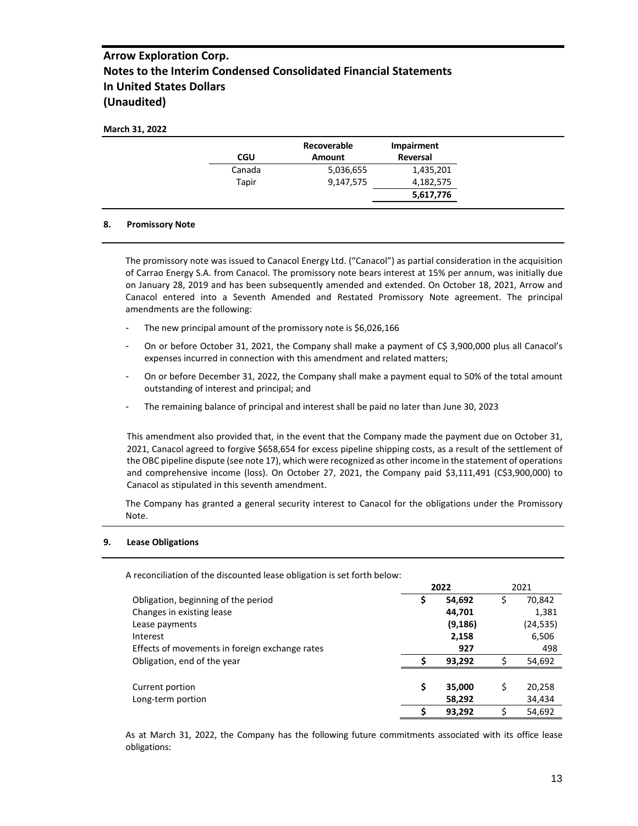| <b>CGU</b> | Recoverable<br><b>Amount</b> | Impairment<br>Reversal |
|------------|------------------------------|------------------------|
| Canada     | 5,036,655                    | 1,435,201              |
| Tapir      | 9,147,575                    | 4,182,575              |
|            |                              | 5,617,776              |

#### **8. Promissory Note**

The promissory note was issued to Canacol Energy Ltd. ("Canacol") as partial consideration in the acquisition of Carrao Energy S.A. from Canacol. The promissory note bears interest at 15% per annum, was initially due on January 28, 2019 and has been subsequently amended and extended. On October 18, 2021, Arrow and Canacol entered into a Seventh Amended and Restated Promissory Note agreement. The principal amendments are the following:

- The new principal amount of the promissory note is \$6,026,166
- On or before October 31, 2021, the Company shall make a payment of C\$ 3,900,000 plus all Canacol's expenses incurred in connection with this amendment and related matters;
- On or before December 31, 2022, the Company shall make a payment equal to 50% of the total amount outstanding of interest and principal; and
- The remaining balance of principal and interest shall be paid no later than June 30, 2023

This amendment also provided that, in the event that the Company made the payment due on October 31, 2021, Canacol agreed to forgive \$658,654 for excess pipeline shipping costs, as a result of the settlement of the OBC pipeline dispute (see note 17), which were recognized as other income in the statement of operations and comprehensive income (loss). On October 27, 2021, the Company paid \$3,111,491 (C\$3,900,000) to Canacol as stipulated in this seventh amendment.

The Company has granted a general security interest to Canacol for the obligations under the Promissory Note.

#### **9. Lease Obligations**

A reconciliation of the discounted lease obligation is set forth below:

|                                                |    | 2022     |    | 2021      |
|------------------------------------------------|----|----------|----|-----------|
| Obligation, beginning of the period            | Ş  | 54,692   | \$ | 70,842    |
| Changes in existing lease                      |    | 44,701   |    | 1,381     |
| Lease payments                                 |    | (9, 186) |    | (24, 535) |
| Interest                                       |    | 2,158    |    | 6,506     |
| Effects of movements in foreign exchange rates |    | 927      |    | 498       |
| Obligation, end of the year                    |    | 93,292   |    | 54,692    |
|                                                |    |          |    |           |
| Current portion                                | \$ | 35,000   | S  | 20,258    |
| Long-term portion                              |    | 58,292   |    | 34,434    |
|                                                |    | 93,292   |    | 54,692    |

As at March 31, 2022, the Company has the following future commitments associated with its office lease obligations: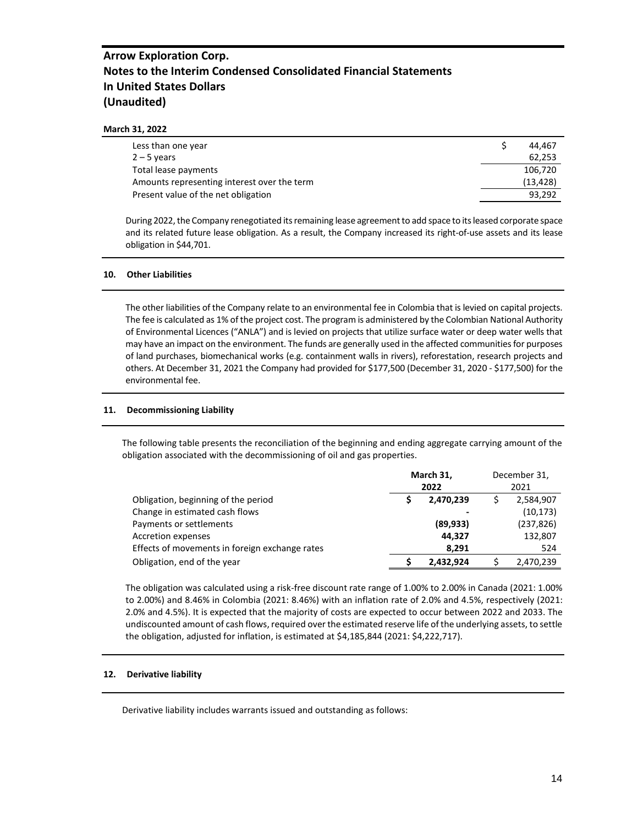#### **March 31, 2022**

| Less than one year                          | 44.467    |
|---------------------------------------------|-----------|
| $2 - 5$ years                               | 62,253    |
| Total lease payments                        | 106.720   |
| Amounts representing interest over the term | (13, 428) |
| Present value of the net obligation         | 93.292    |

During 2022, the Company renegotiated its remaining lease agreement to add space to its leased corporate space and its related future lease obligation. As a result, the Company increased its right-of-use assets and its lease obligation in \$44,701.

#### **10. Other Liabilities**

The other liabilities of the Company relate to an environmental fee in Colombia that is levied on capital projects. The fee is calculated as 1% of the project cost. The program is administered by the Colombian National Authority of Environmental Licences ("ANLA") and is levied on projects that utilize surface water or deep water wells that may have an impact on the environment. The funds are generally used in the affected communities for purposes of land purchases, biomechanical works (e.g. containment walls in rivers), reforestation, research projects and others. At December 31, 2021 the Company had provided for \$177,500 (December 31, 2020 - \$177,500) for the environmental fee.

#### **11. Decommissioning Liability**

The following table presents the reconciliation of the beginning and ending aggregate carrying amount of the obligation associated with the decommissioning of oil and gas properties.

|                                                | March 31,<br>2022 |           | December 31,<br>2021 |            |
|------------------------------------------------|-------------------|-----------|----------------------|------------|
| Obligation, beginning of the period            |                   | 2,470,239 |                      | 2,584,907  |
| Change in estimated cash flows                 |                   |           |                      | (10, 173)  |
| Payments or settlements                        |                   | (89, 933) |                      | (237, 826) |
| Accretion expenses                             |                   | 44,327    |                      | 132,807    |
| Effects of movements in foreign exchange rates |                   | 8.291     |                      | 524        |
| Obligation, end of the year                    |                   | 2,432,924 |                      | 2,470,239  |

The obligation was calculated using a risk-free discount rate range of 1.00% to 2.00% in Canada (2021: 1.00% to 2.00%) and 8.46% in Colombia (2021: 8.46%) with an inflation rate of 2.0% and 4.5%, respectively (2021: 2.0% and 4.5%). It is expected that the majority of costs are expected to occur between 2022 and 2033. The undiscounted amount of cash flows, required over the estimated reserve life of the underlying assets, to settle the obligation, adjusted for inflation, is estimated at \$4,185,844 (2021: \$4,222,717).

#### **12. Derivative liability**

Derivative liability includes warrants issued and outstanding as follows: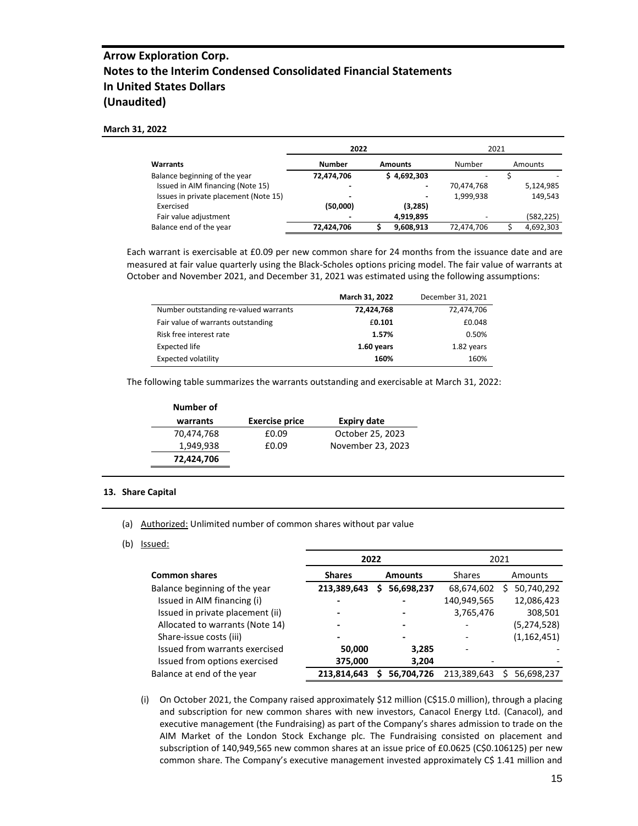#### **March 31, 2022**

|                                       | 2022           |                | 2021       |           |
|---------------------------------------|----------------|----------------|------------|-----------|
| Warrants                              | <b>Number</b>  | <b>Amounts</b> | Number     | Amounts   |
| Balance beginning of the year         | 72,474,706     | \$4,692,303    |            |           |
| Issued in AIM financing (Note 15)     | $\blacksquare$ | ٠              | 70,474,768 | 5,124,985 |
| Issues in private placement (Note 15) | $\,$           |                | 1,999,938  | 149.543   |
| Exercised                             | (50,000)       | (3, 285)       |            |           |
| Fair value adjustment                 | $\blacksquare$ | 4,919,895      |            | (582,225) |
| Balance end of the year               | 72,424,706     | 9,608,913      | 72,474,706 | 4,692,303 |

Each warrant is exercisable at £0.09 per new common share for 24 months from the issuance date and are measured at fair value quarterly using the Black-Scholes options pricing model. The fair value of warrants at October and November 2021, and December 31, 2021 was estimated using the following assumptions:

|                                       | March 31, 2022 | December 31, 2021 |
|---------------------------------------|----------------|-------------------|
| Number outstanding re-valued warrants | 72,424,768     | 72,474,706        |
| Fair value of warrants outstanding    | £0.101         | £0.048            |
| Risk free interest rate               | 1.57%          | 0.50%             |
| Expected life                         | 1.60 years     | 1.82 years        |
| <b>Expected volatility</b>            | 160%           | 160%              |

The following table summarizes the warrants outstanding and exercisable at March 31, 2022:

| Number of  |                       |                   |
|------------|-----------------------|-------------------|
| warrants   | <b>Exercise price</b> | Expiry date       |
| 70,474,768 | £0.09                 | October 25, 2023  |
| 1,949,938  | £0.09                 | November 23, 2023 |
| 72,424,706 |                       |                   |

#### **13. Share Capital**

- (a) Authorized: Unlimited number of common shares without par value
- (b) Issued:

|                                  | 2022                     |                | 2021          |               |  |
|----------------------------------|--------------------------|----------------|---------------|---------------|--|
| <b>Common shares</b>             | <b>Shares</b>            | <b>Amounts</b> | <b>Shares</b> | Amounts       |  |
| Balance beginning of the year    | 213,389,643              | 56,698,237     | 68,674,602    | 50,740,292    |  |
| Issued in AIM financing (i)      |                          |                | 140,949,565   | 12,086,423    |  |
| Issued in private placement (ii) | -                        |                | 3,765,476     | 308,501       |  |
| Allocated to warrants (Note 14)  |                          |                |               | (5,274,528)   |  |
| Share-issue costs (iii)          | $\overline{\phantom{0}}$ |                |               | (1, 162, 451) |  |
| Issued from warrants exercised   | 50,000                   | 3,285          |               |               |  |
| Issued from options exercised    | 375,000                  | 3,204          |               |               |  |
| Balance at end of the year       | 213,814,643              | 56,704,726     | 213,389,643   | 56,698,237    |  |

(i) On October 2021, the Company raised approximately \$12 million (C\$15.0 million), through a placing and subscription for new common shares with new investors, Canacol Energy Ltd. (Canacol), and executive management (the Fundraising) as part of the Company's shares admission to trade on the AIM Market of the London Stock Exchange plc. The Fundraising consisted on placement and subscription of 140,949,565 new common shares at an issue price of £0.0625 (C\$0.106125) per new common share. The Company's executive management invested approximately C\$ 1.41 million and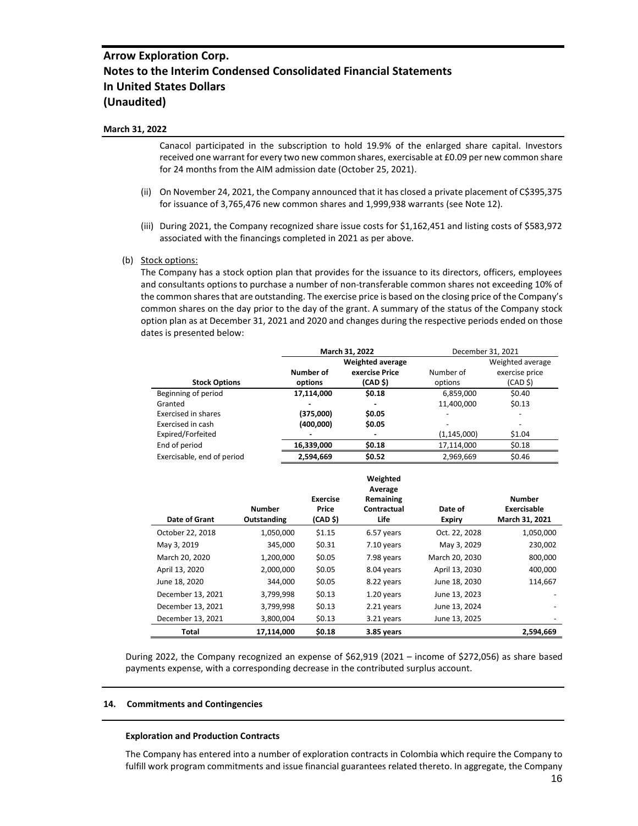#### **March 31, 2022**

Canacol participated in the subscription to hold 19.9% of the enlarged share capital. Investors received one warrant for every two new common shares, exercisable at £0.09 per new common share for 24 months from the AIM admission date (October 25, 2021).

- (ii) On November 24, 2021, the Company announced that it has closed a private placement of C\$395,375 for issuance of 3,765,476 new common shares and 1,999,938 warrants (see Note 12).
- (iii) During 2021, the Company recognized share issue costs for \$1,162,451 and listing costs of \$583,972 associated with the financings completed in 2021 as per above.
- (b) Stock options:

The Company has a stock option plan that provides for the issuance to its directors, officers, employees and consultants options to purchase a number of non-transferable common shares not exceeding 10% of the common shares that are outstanding. The exercise price is based on the closing price of the Company's common shares on the day prior to the day of the grant. A summary of the status of the Company stock option plan as at December 31, 2021 and 2020 and changes during the respective periods ended on those dates is presented below:

|                            | March 31, 2022 |                         |               | December 31, 2021        |
|----------------------------|----------------|-------------------------|---------------|--------------------------|
|                            |                | <b>Weighted average</b> |               | Weighted average         |
|                            | Number of      | exercise Price          | Number of     | exercise price           |
| <b>Stock Options</b>       | options        | (CAD <sub>5</sub> )     | options       | (CAD <sub>5</sub> )      |
| Beginning of period        | 17,114,000     | \$0.18                  | 6,859,000     | \$0.40                   |
| Granted                    |                |                         | 11,400,000    | \$0.13                   |
| Exercised in shares        | (375,000)      | \$0.05                  |               | $\overline{\phantom{0}}$ |
| Exercised in cash          | (400,000)      | \$0.05                  |               | $\overline{\phantom{0}}$ |
| Expired/Forfeited          |                |                         | (1, 145, 000) | \$1.04                   |
| End of period              | 16,339,000     | \$0.18                  | 17,114,000    | \$0.18                   |
| Exercisable, end of period | 2,594,669      | \$0.52                  | 2,969,669     | \$0.46                   |

|                   | Number      | <b>Exercise</b><br>Price | Weighted<br>Average<br>Remaining<br>Contractual | Date of        | <b>Number</b><br>Exercisable |
|-------------------|-------------|--------------------------|-------------------------------------------------|----------------|------------------------------|
| Date of Grant     | Outstanding | (CAD \$)                 | Life                                            | <b>Expiry</b>  | March 31, 2021               |
| October 22, 2018  | 1,050,000   | \$1.15                   | 6.57 years                                      | Oct. 22, 2028  | 1,050,000                    |
| May 3, 2019       | 345,000     | \$0.31                   | 7.10 years                                      | May 3, 2029    | 230,002                      |
| March 20, 2020    | 1,200,000   | \$0.05                   | 7.98 years                                      | March 20, 2030 | 800,000                      |
| April 13, 2020    | 2,000,000   | \$0.05                   | 8.04 years                                      | April 13, 2030 | 400.000                      |
| June 18, 2020     | 344.000     | \$0.05                   | 8.22 years                                      | June 18, 2030  | 114,667                      |
| December 13, 2021 | 3,799,998   | \$0.13                   | 1.20 years                                      | June 13, 2023  |                              |
| December 13, 2021 | 3,799,998   | \$0.13                   | 2.21 years                                      | June 13, 2024  |                              |
| December 13, 2021 | 3,800,004   | \$0.13                   | 3.21 years                                      | June 13, 2025  |                              |
| <b>Total</b>      | 17,114,000  | \$0.18                   | 3.85 years                                      |                | 2,594,669                    |

During 2022, the Company recognized an expense of \$62,919 (2021 – income of \$272,056) as share based payments expense, with a corresponding decrease in the contributed surplus account.

#### **14. Commitments and Contingencies**

#### **Exploration and Production Contracts**

The Company has entered into a number of exploration contracts in Colombia which require the Company to fulfill work program commitments and issue financial guarantees related thereto. In aggregate, the Company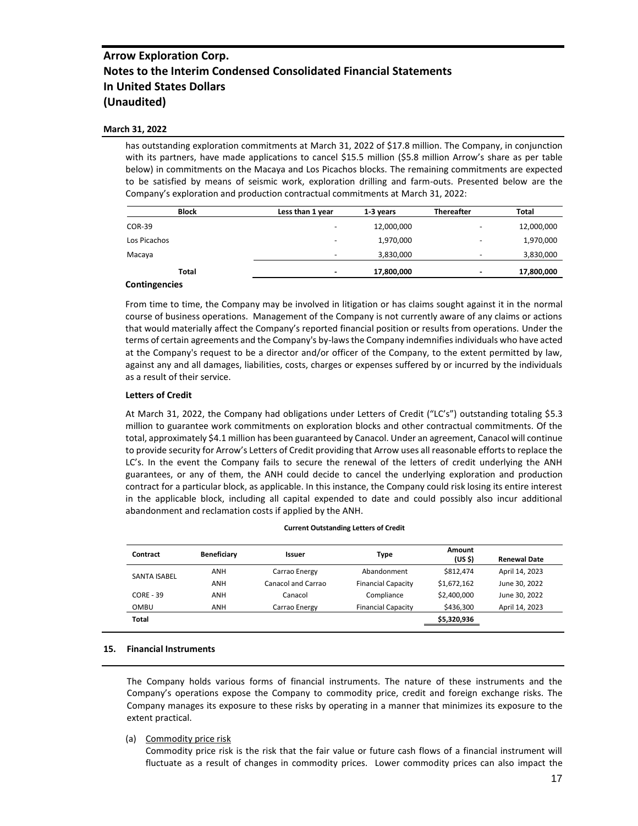#### **March 31, 2022**

has outstanding exploration commitments at March 31, 2022 of \$17.8 million. The Company, in conjunction with its partners, have made applications to cancel \$15.5 million (\$5.8 million Arrow's share as per table below) in commitments on the Macaya and Los Picachos blocks. The remaining commitments are expected to be satisfied by means of seismic work, exploration drilling and farm-outs. Presented below are the Company's exploration and production contractual commitments at March 31, 2022:

| <b>Block</b>  | Less than 1 year | 1-3 years  | <b>Thereafter</b> | <b>Total</b> |
|---------------|------------------|------------|-------------------|--------------|
| <b>COR-39</b> |                  | 12,000,000 | -                 | 12,000,000   |
| Los Picachos  | -                | 1,970,000  |                   | 1,970,000    |
| Macaya        |                  | 3,830,000  |                   | 3,830,000    |
| <b>Total</b>  |                  | 17,800,000 |                   | 17,800,000   |
|               |                  |            |                   |              |

#### **Contingencies**

From time to time, the Company may be involved in litigation or has claims sought against it in the normal course of business operations. Management of the Company is not currently aware of any claims or actions that would materially affect the Company's reported financial position or results from operations. Under the terms of certain agreements and the Company's by-laws the Company indemnifies individuals who have acted at the Company's request to be a director and/or officer of the Company, to the extent permitted by law, against any and all damages, liabilities, costs, charges or expenses suffered by or incurred by the individuals as a result of their service.

#### **Letters of Credit**

At March 31, 2022, the Company had obligations under Letters of Credit ("LC's") outstanding totaling \$5.3 million to guarantee work commitments on exploration blocks and other contractual commitments. Of the total, approximately \$4.1 million has been guaranteed by Canacol. Under an agreement, Canacol will continue to provide security for Arrow's Letters of Credit providing that Arrow uses all reasonable efforts to replace the LC's. In the event the Company fails to secure the renewal of the letters of credit underlying the ANH guarantees, or any of them, the ANH could decide to cancel the underlying exploration and production contract for a particular block, as applicable. In this instance, the Company could risk losing its entire interest in the applicable block, including all capital expended to date and could possibly also incur additional abandonment and reclamation costs if applied by the ANH.

| Contract            | Beneficiary | Issuer             | <b>Type</b>               | Amount<br>(US \$) | <b>Renewal Date</b> |
|---------------------|-------------|--------------------|---------------------------|-------------------|---------------------|
| <b>SANTA ISABEL</b> | ANH         | Carrao Energy      | Abandonment               | \$812,474         | April 14, 2023      |
|                     | ANH         | Canacol and Carrao | <b>Financial Capacity</b> | \$1,672,162       | June 30, 2022       |
| $CORE - 39$         | ANH         | Canacol            | Compliance                | \$2,400,000       | June 30, 2022       |
| OMBU                | ANH         | Carrao Energy      | <b>Financial Capacity</b> | \$436,300         | April 14, 2023      |
| <b>Total</b>        |             |                    |                           | \$5,320,936       |                     |

#### **Current Outstanding Letters of Credit**

#### **15. Financial Instruments**

The Company holds various forms of financial instruments. The nature of these instruments and the Company's operations expose the Company to commodity price, credit and foreign exchange risks. The Company manages its exposure to these risks by operating in a manner that minimizes its exposure to the extent practical.

(a) Commodity price risk

Commodity price risk is the risk that the fair value or future cash flows of a financial instrument will fluctuate as a result of changes in commodity prices. Lower commodity prices can also impact the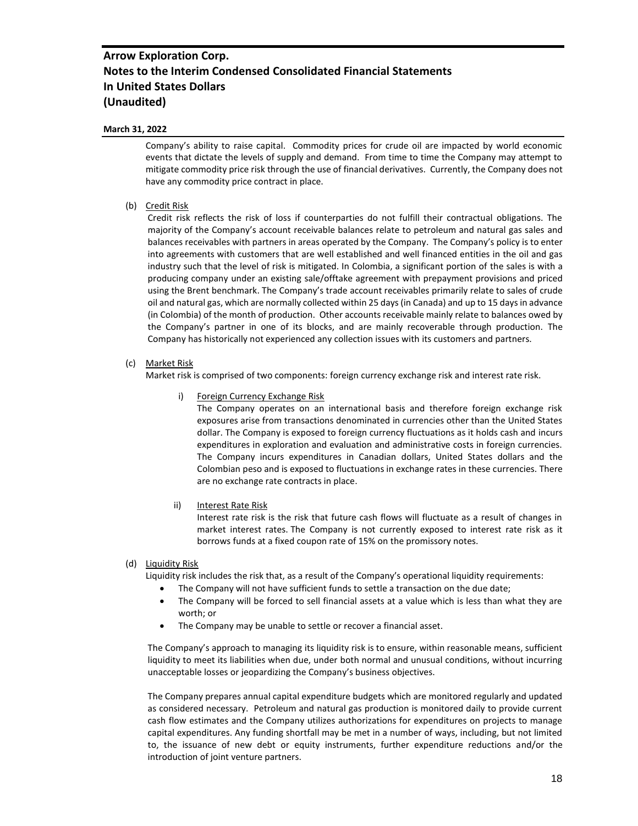### **March 31, 2022**

Company's ability to raise capital. Commodity prices for crude oil are impacted by world economic events that dictate the levels of supply and demand. From time to time the Company may attempt to mitigate commodity price risk through the use of financial derivatives. Currently, the Company does not have any commodity price contract in place.

### (b) Credit Risk

Credit risk reflects the risk of loss if counterparties do not fulfill their contractual obligations. The majority of the Company's account receivable balances relate to petroleum and natural gas sales and balances receivables with partners in areas operated by the Company. The Company's policy is to enter into agreements with customers that are well established and well financed entities in the oil and gas industry such that the level of risk is mitigated. In Colombia, a significant portion of the sales is with a producing company under an existing sale/offtake agreement with prepayment provisions and priced using the Brent benchmark. The Company's trade account receivables primarily relate to sales of crude oil and natural gas, which are normally collected within 25 days (in Canada) and up to 15 days in advance (in Colombia) of the month of production. Other accounts receivable mainly relate to balances owed by the Company's partner in one of its blocks, and are mainly recoverable through production. The Company has historically not experienced any collection issues with its customers and partners.

### (c) Market Risk

Market risk is comprised of two components: foreign currency exchange risk and interest rate risk.

#### i) Foreign Currency Exchange Risk

The Company operates on an international basis and therefore foreign exchange risk exposures arise from transactions denominated in currencies other than the United States dollar. The Company is exposed to foreign currency fluctuations as it holds cash and incurs expenditures in exploration and evaluation and administrative costs in foreign currencies. The Company incurs expenditures in Canadian dollars, United States dollars and the Colombian peso and is exposed to fluctuations in exchange rates in these currencies. There are no exchange rate contracts in place.

### ii) Interest Rate Risk

Interest rate risk is the risk that future cash flows will fluctuate as a result of changes in market interest rates. The Company is not currently exposed to interest rate risk as it borrows funds at a fixed coupon rate of 15% on the promissory notes.

#### (d) Liquidity Risk

Liquidity risk includes the risk that, as a result of the Company's operational liquidity requirements:

- The Company will not have sufficient funds to settle a transaction on the due date;
- The Company will be forced to sell financial assets at a value which is less than what they are worth; or
- The Company may be unable to settle or recover a financial asset.

The Company's approach to managing its liquidity risk is to ensure, within reasonable means, sufficient liquidity to meet its liabilities when due, under both normal and unusual conditions, without incurring unacceptable losses or jeopardizing the Company's business objectives.

The Company prepares annual capital expenditure budgets which are monitored regularly and updated as considered necessary. Petroleum and natural gas production is monitored daily to provide current cash flow estimates and the Company utilizes authorizations for expenditures on projects to manage capital expenditures. Any funding shortfall may be met in a number of ways, including, but not limited to, the issuance of new debt or equity instruments, further expenditure reductions and/or the introduction of joint venture partners.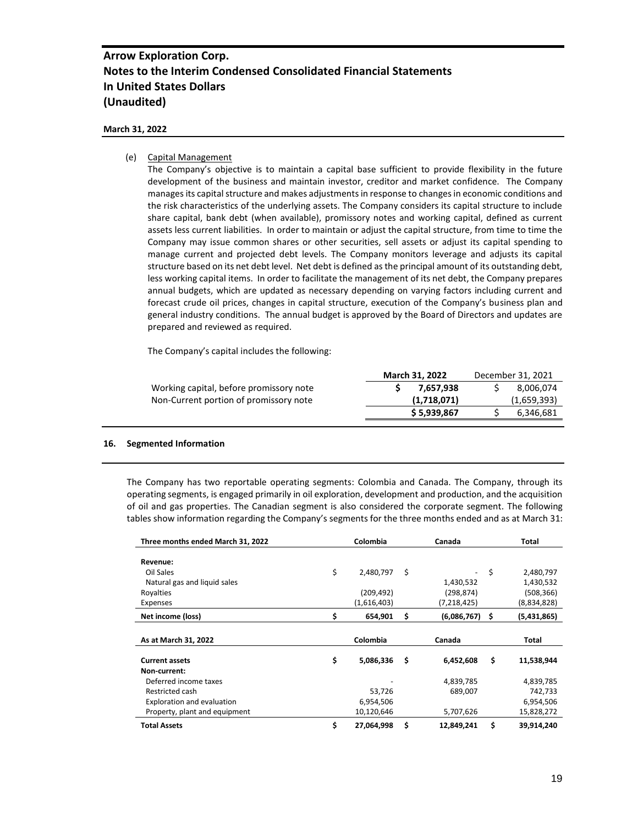### **March 31, 2022**

### (e) Capital Management

The Company's objective is to maintain a capital base sufficient to provide flexibility in the future development of the business and maintain investor, creditor and market confidence. The Company manages its capital structure and makes adjustments in response to changes in economic conditions and the risk characteristics of the underlying assets. The Company considers its capital structure to include share capital, bank debt (when available), promissory notes and working capital, defined as current assets less current liabilities. In order to maintain or adjust the capital structure, from time to time the Company may issue common shares or other securities, sell assets or adjust its capital spending to manage current and projected debt levels. The Company monitors leverage and adjusts its capital structure based on its net debt level. Net debt is defined as the principal amount of its outstanding debt, less working capital items. In order to facilitate the management of its net debt, the Company prepares annual budgets, which are updated as necessary depending on varying factors including current and forecast crude oil prices, changes in capital structure, execution of the Company's business plan and general industry conditions. The annual budget is approved by the Board of Directors and updates are prepared and reviewed as required.

The Company's capital includes the following:

|                                         | <b>March 31, 2022</b> | December 31, 2021 |
|-----------------------------------------|-----------------------|-------------------|
| Working capital, before promissory note | 7.657.938             | 8,006,074         |
| Non-Current portion of promissory note  | (1,718,071)           | (1,659,393)       |
|                                         | \$5,939,867           | 6,346,681         |
|                                         |                       |                   |

#### **16. Segmented Information**

The Company has two reportable operating segments: Colombia and Canada. The Company, through its operating segments, is engaged primarily in oil exploration, development and production, and the acquisition of oil and gas properties. The Canadian segment is also considered the corporate segment. The following tables show information regarding the Company's segments for the three months ended and as at March 31:

| Three months ended March 31, 2022 | Colombia        | Canada            |    | Total       |
|-----------------------------------|-----------------|-------------------|----|-------------|
|                                   |                 |                   |    |             |
| Revenue:                          |                 |                   |    |             |
| Oil Sales                         | \$<br>2,480,797 | \$                | \$ | 2,480,797   |
| Natural gas and liquid sales      |                 | 1,430,532         |    | 1,430,532   |
| Royalties                         | (209, 492)      | (298,874)         |    | (508,366)   |
| Expenses                          | (1,616,403)     | (7, 218, 425)     |    | (8,834,828) |
| Net income (loss)                 | \$<br>654,901   | \$<br>(6,086,767) | S  | (5,431,865) |
|                                   |                 |                   |    |             |
|                                   |                 |                   |    |             |
| As at March 31, 2022              | Colombia        | Canada            |    | Total       |
|                                   |                 |                   |    |             |
| <b>Current assets</b>             | \$<br>5,086,336 | \$<br>6,452,608   | \$ | 11,538,944  |
| Non-current:                      |                 |                   |    |             |
| Deferred income taxes             |                 | 4,839,785         |    | 4,839,785   |
| Restricted cash                   | 53,726          | 689,007           |    | 742,733     |
| Exploration and evaluation        | 6,954,506       |                   |    | 6,954,506   |
| Property, plant and equipment     | 10,120,646      | 5,707,626         |    | 15,828,272  |